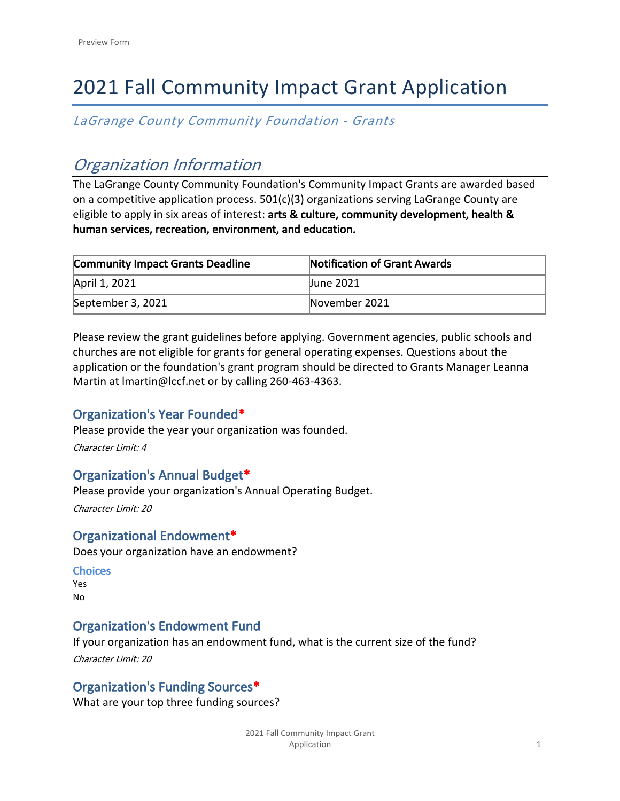# 2021 Fall Community Impact Grant Application

*LaGrange County Community Foundation - Grants*

## *Organization Information*

The LaGrange County Community Foundation's Community Impact Grants are awarded based on a competitive application process. 501(c)(3) organizations serving LaGrange County are eligible to apply in six areas of interest: **arts & culture, community development, health & human services, recreation, environment, and education.**

| <b>Community Impact Grants Deadline</b> | Notification of Grant Awards |
|-----------------------------------------|------------------------------|
| April 1, 2021                           | June 2021                    |
| September 3, 2021                       | November 2021                |

[Please review the grant guidelines before applying.](http://www.lccf.net/grantguidelines) Government agencies, public schools and churches are not eligible for grants for general operating expenses. Questions about the application or the foundation's grant program should be directed to Grants Manager Leanna Martin at lmartin@lccf.net or by calling 260-463-4363.

## **Organization's Year Founded\***

Please provide the year your organization was founded.

*Character Limit: 4*

## **Organization's Annual Budget\***

Please provide your organization's Annual Operating Budget.

*Character Limit: 20*

## **Organizational Endowment\***

Does your organization have an endowment?

## **Choices**

Yes No

## **Organization's Endowment Fund**

If your organization has an endowment fund, what is the current size of the fund? *Character Limit: 20*

## **Organization's Funding Sources\***

What are your top three funding sources?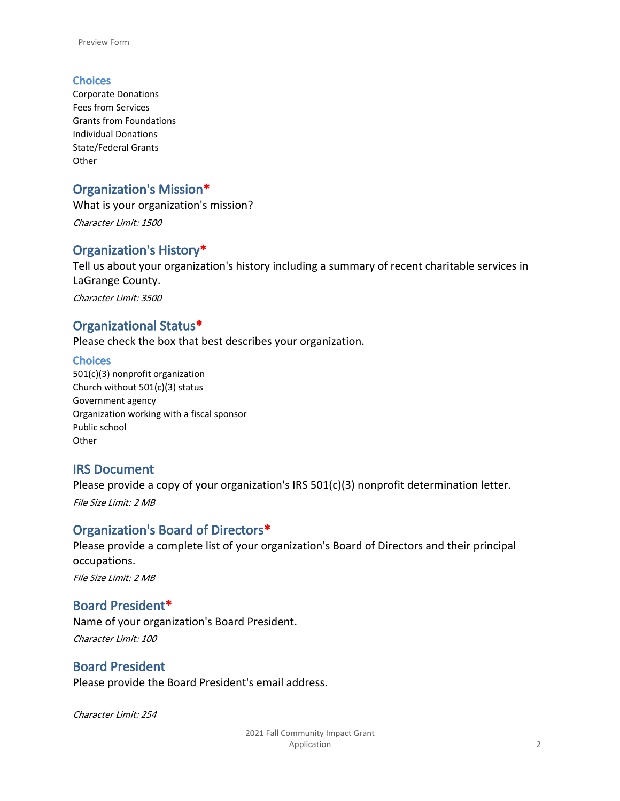#### **Choices**

Corporate Donations Fees from Services Grants from Foundations Individual Donations State/Federal Grants **Other** 

## **Organization's Mission\***

What is your organization's mission?

*Character Limit: 1500*

#### **Organization's History\***

Tell us about your organization's history including a summary of recent charitable services in LaGrange County.

*Character Limit: 3500*

#### **Organizational Status\***

Please check the box that best describes your organization.

#### **Choices**

501(c)(3) nonprofit organization Church without 501(c)(3) status Government agency Organization working with a fiscal sponsor Public school **Other** 

### **IRS Document**

Please provide a copy of your organization's IRS 501(c)(3) nonprofit determination letter.

*File Size Limit: 2 MB*

### **Organization's Board of Directors\***

Please provide a complete list of your organization's Board of Directors and their principal occupations.

*File Size Limit: 2 MB*

### **Board President\***

Name of your organization's Board President. *Character Limit: 100*

### **Board President**

Please provide the Board President's email address.

*Character Limit: 254*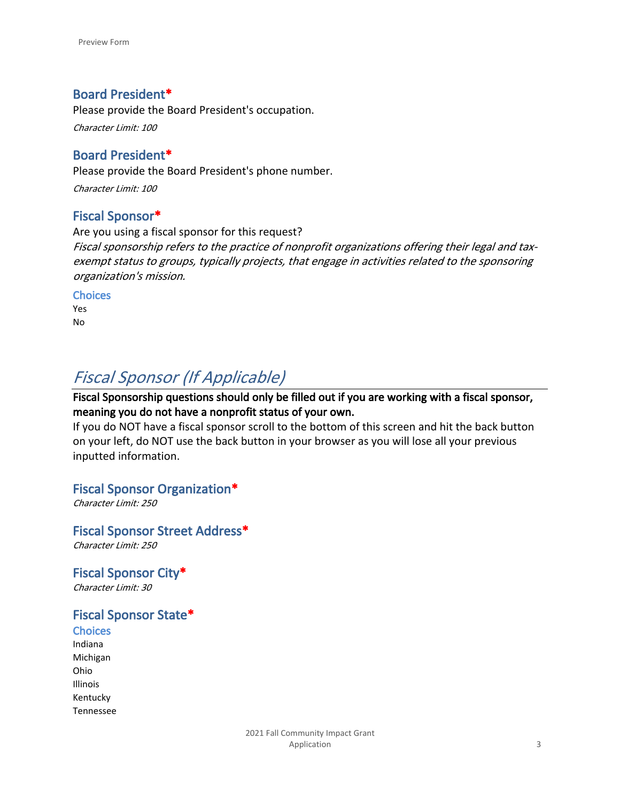## **Board President\***

Please provide the Board President's occupation.

*Character Limit: 100*

## **Board President\***

Please provide the Board President's phone number.

*Character Limit: 100*

### **Fiscal Sponsor\***

Are you using a fiscal sponsor for this request? *Fiscal sponsorship refers to the practice of nonprofit organizations offering their legal and taxexempt status to groups, typically projects, that engage in activities related to the sponsoring organization's mission.* 

**Choices**

Yes No

## *Fiscal Sponsor (If Applicable)*

**Fiscal Sponsorship questions should only be filled out if you are working with a fiscal sponsor, meaning you do not have a nonprofit status of your own.** 

If you do NOT have a fiscal sponsor scroll to the bottom of this screen and hit the back button on your left, do NOT use the back button in your browser as you will lose all your previous inputted information.

### **Fiscal Sponsor Organization\***

*Character Limit: 250*

**Fiscal Sponsor Street Address\*** *Character Limit: 250*

**Fiscal Sponsor City\*** *Character Limit: 30*

## **Fiscal Sponsor State\***

**Choices** Indiana Michigan Ohio Illinois Kentucky Tennessee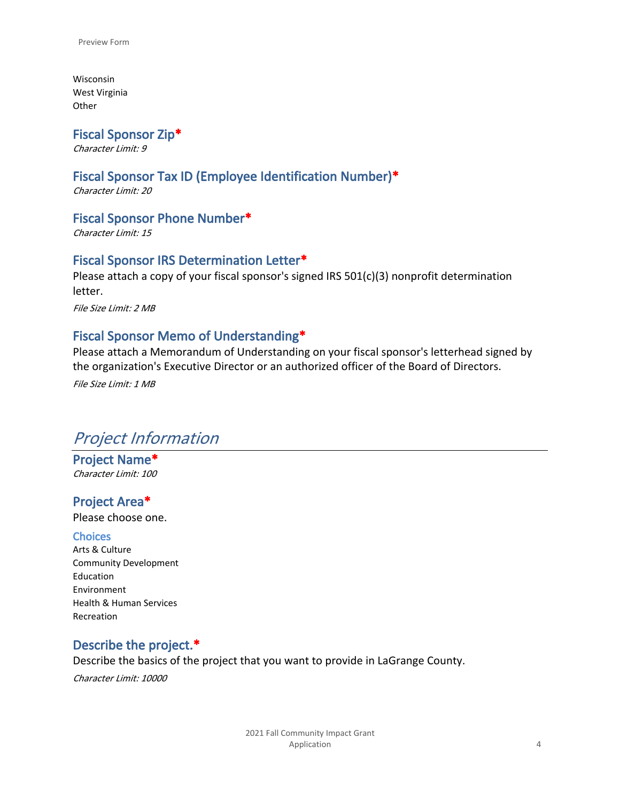Wisconsin West Virginia **Other** 

**Fiscal Sponsor Zip\***

*Character Limit: 9*

## **Fiscal Sponsor Tax ID (Employee Identification Number)\***

*Character Limit: 20*

## **Fiscal Sponsor Phone Number\***

*Character Limit: 15*

### **Fiscal Sponsor IRS Determination Letter\***

Please attach a copy of your fiscal sponsor's signed IRS 501(c)(3) nonprofit determination letter.

*File Size Limit: 2 MB*

## **Fiscal Sponsor Memo of Understanding\***

Please attach a Memorandum of Understanding on your fiscal sponsor's letterhead signed by the organization's Executive Director or an authorized officer of the Board of Directors.

*File Size Limit: 1 MB*

## *Project Information*

**Project Name\*** *Character Limit: 100*

### **Project Area\***

Please choose one.

#### **Choices**

Arts & Culture Community Development Education Environment Health & Human Services Recreation

### **Describe the project.\***

Describe the basics of the project that you want to provide in LaGrange County.

*Character Limit: 10000*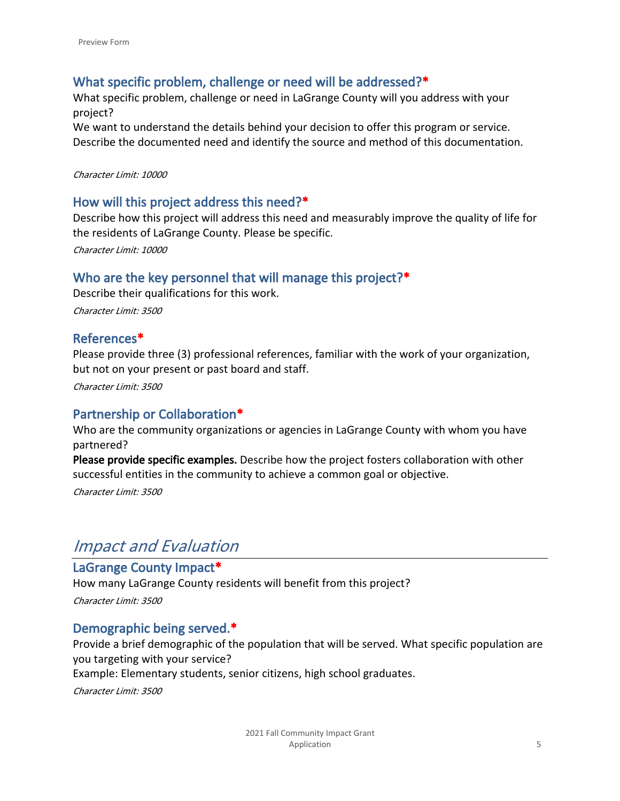## **What specific problem, challenge or need will be addressed?\***

What specific problem, challenge or need in LaGrange County will you address with your project?

We want to understand the details behind your decision to offer this program or service. Describe the documented need and identify the source and method of this documentation.

#### *Character Limit: 10000*

#### **How will this project address this need?\***

Describe how this project will address this need and measurably improve the quality of life for the residents of LaGrange County. Please be specific.

*Character Limit: 10000*

### **Who are the key personnel that will manage this project?\***

Describe their qualifications for this work. *Character Limit: 3500*

#### **References\***

Please provide three (3) professional references, familiar with the work of your organization, but not on your present or past board and staff.

*Character Limit: 3500*

### **Partnership or Collaboration\***

Who are the community organizations or agencies in LaGrange County with whom you have partnered?

**Please provide specific examples.** Describe how the project fosters collaboration with other successful entities in the community to achieve a common goal or objective.

*Character Limit: 3500*

## *Impact and Evaluation*

#### **LaGrange County Impact\***

How many LaGrange County residents will benefit from this project? *Character Limit: 3500*

### **Demographic being served.\***

Provide a brief demographic of the population that will be served. What specific population are you targeting with your service?

Example: Elementary students, senior citizens, high school graduates.

*Character Limit: 3500*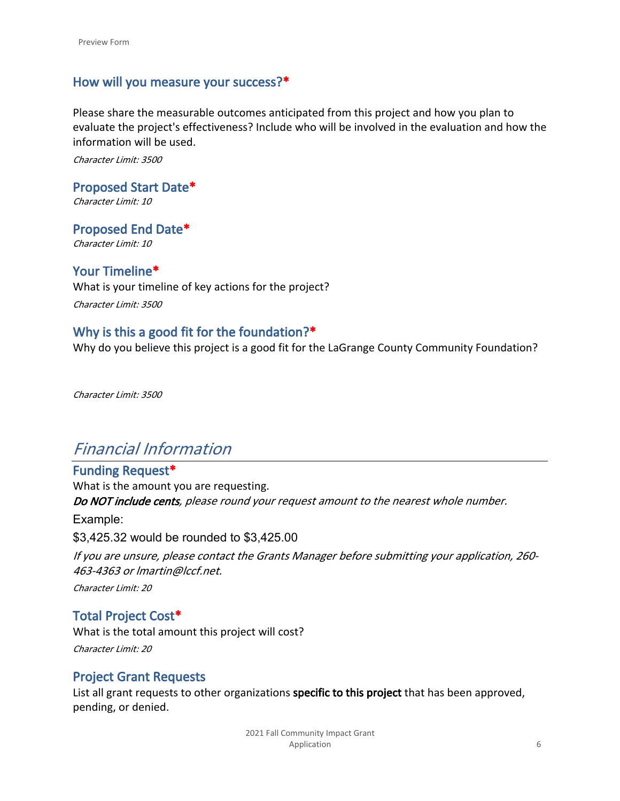## **How will you measure your success?\***

Please share the measurable outcomes anticipated from this project and how you plan to evaluate the project's effectiveness? Include who will be involved in the evaluation and how the information will be used.

*Character Limit: 3500*

**Proposed Start Date\*** *Character Limit: 10*

**Proposed End Date\*** *Character Limit: 10*

### **Your Timeline\***

What is your timeline of key actions for the project? *Character Limit: 3500*

## **Why is this a good fit for the foundation?\***

Why do you believe this project is a good fit for the LaGrange County Community Foundation?

*Character Limit: 3500*

## *Financial Information*

## **Funding Request\***

What is the amount you are requesting. *Do NOT include cents, please round your request amount to the nearest whole number.*  Example: \$3,425.32 would be rounded to \$3,425.00 *If you are unsure, please contact the Grants Manager before submitting your application, 260- 463-4363 or lmartin@lccf.net.*

*Character Limit: 20*

### **Total Project Cost\***

What is the total amount this project will cost? *Character Limit: 20*

### **Project Grant Requests**

List all grant requests to other organizations **specific to this project** that has been approved, pending, or denied.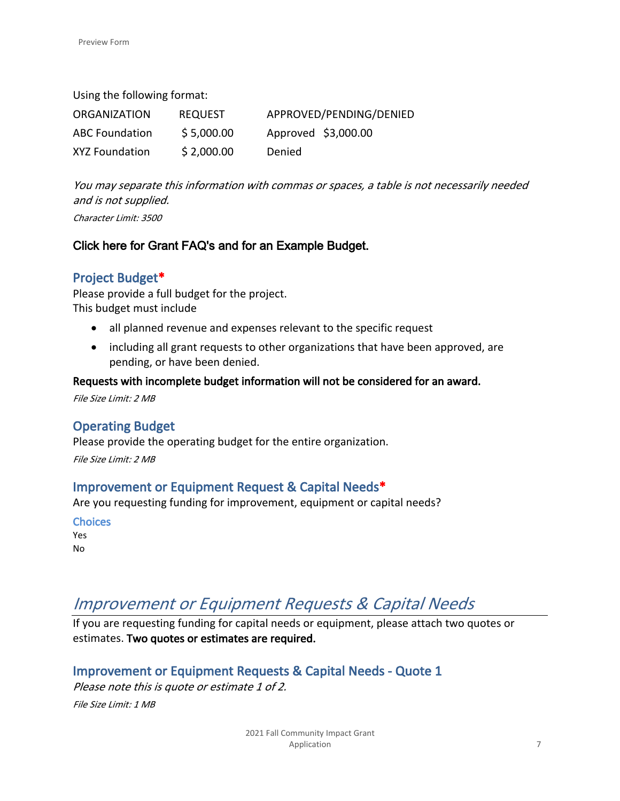Using the following format:

| <b>ORGANIZATION</b>   | <b>REQUEST</b> | APPROVED/PENDING/DENIED |
|-----------------------|----------------|-------------------------|
| <b>ABC Foundation</b> | \$5,000.00     | Approved \$3,000.00     |
| XYZ Foundation        | \$2,000.00     | Denied                  |

*You may separate this information with commas or spaces, a table is not necessarily needed and is not supplied.* 

*Character Limit: 3500*

## **[Click here for Grant FAQ's and for an Example Budget.](https://www.lccf.net/grantquestions)**

## **Project Budget\***

Please provide a full budget for the project. This budget must include

- all planned revenue and expenses relevant to the specific request
- including all grant requests to other organizations that have been approved, are pending, or have been denied.

#### **Requests with incomplete budget information will not be considered for an award.**

*File Size Limit: 2 MB*

## **Operating Budget**

Please provide the operating budget for the entire organization.

*File Size Limit: 2 MB*

### **Improvement or Equipment Request & Capital Needs\***

Are you requesting funding for improvement, equipment or capital needs?

**Choices** Yes No

## *Improvement or Equipment Requests & Capital Needs*

If you are requesting funding for capital needs or equipment, please attach two quotes or estimates. **Two quotes or estimates are required.**

## **Improvement or Equipment Requests & Capital Needs - Quote 1**

*Please note this is quote or estimate 1 of 2. File Size Limit: 1 MB*